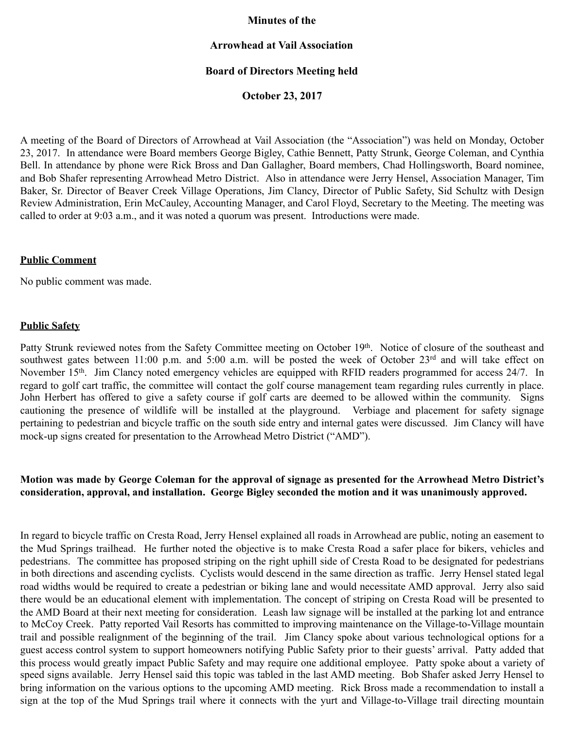### **Minutes of the**

## **Arrowhead at Vail Association**

## **Board of Directors Meeting held**

**October 23, 2017** 

A meeting of the Board of Directors of Arrowhead at Vail Association (the "Association") was held on Monday, October 23, 2017. In attendance were Board members George Bigley, Cathie Bennett, Patty Strunk, George Coleman, and Cynthia Bell. In attendance by phone were Rick Bross and Dan Gallagher, Board members, Chad Hollingsworth, Board nominee, and Bob Shafer representing Arrowhead Metro District. Also in attendance were Jerry Hensel, Association Manager, Tim Baker, Sr. Director of Beaver Creek Village Operations, Jim Clancy, Director of Public Safety, Sid Schultz with Design Review Administration, Erin McCauley, Accounting Manager, and Carol Floyd, Secretary to the Meeting. The meeting was called to order at 9:03 a.m., and it was noted a quorum was present. Introductions were made.

#### **Public Comment**

No public comment was made.

#### **Public Safety**

Patty Strunk reviewed notes from the Safety Committee meeting on October 19<sup>th</sup>. Notice of closure of the southeast and southwest gates between 11:00 p.m. and 5:00 a.m. will be posted the week of October 23<sup>rd</sup> and will take effect on November 15<sup>th</sup>. Jim Clancy noted emergency vehicles are equipped with RFID readers programmed for access 24/7. In regard to golf cart traffic, the committee will contact the golf course management team regarding rules currently in place. John Herbert has offered to give a safety course if golf carts are deemed to be allowed within the community. Signs cautioning the presence of wildlife will be installed at the playground. Verbiage and placement for safety signage pertaining to pedestrian and bicycle traffic on the south side entry and internal gates were discussed. Jim Clancy will have mock-up signs created for presentation to the Arrowhead Metro District ("AMD").

## **Motion was made by George Coleman for the approval of signage as presented for the Arrowhead Metro District's consideration, approval, and installation. George Bigley seconded the motion and it was unanimously approved.**

In regard to bicycle traffic on Cresta Road, Jerry Hensel explained all roads in Arrowhead are public, noting an easement to the Mud Springs trailhead. He further noted the objective is to make Cresta Road a safer place for bikers, vehicles and pedestrians. The committee has proposed striping on the right uphill side of Cresta Road to be designated for pedestrians in both directions and ascending cyclists. Cyclists would descend in the same direction as traffic. Jerry Hensel stated legal road widths would be required to create a pedestrian or biking lane and would necessitate AMD approval. Jerry also said there would be an educational element with implementation. The concept of striping on Cresta Road will be presented to the AMD Board at their next meeting for consideration. Leash law signage will be installed at the parking lot and entrance to McCoy Creek. Patty reported Vail Resorts has committed to improving maintenance on the Village-to-Village mountain trail and possible realignment of the beginning of the trail. Jim Clancy spoke about various technological options for a guest access control system to support homeowners notifying Public Safety prior to their guests' arrival. Patty added that this process would greatly impact Public Safety and may require one additional employee. Patty spoke about a variety of speed signs available. Jerry Hensel said this topic was tabled in the last AMD meeting. Bob Shafer asked Jerry Hensel to bring information on the various options to the upcoming AMD meeting. Rick Bross made a recommendation to install a sign at the top of the Mud Springs trail where it connects with the yurt and Village-to-Village trail directing mountain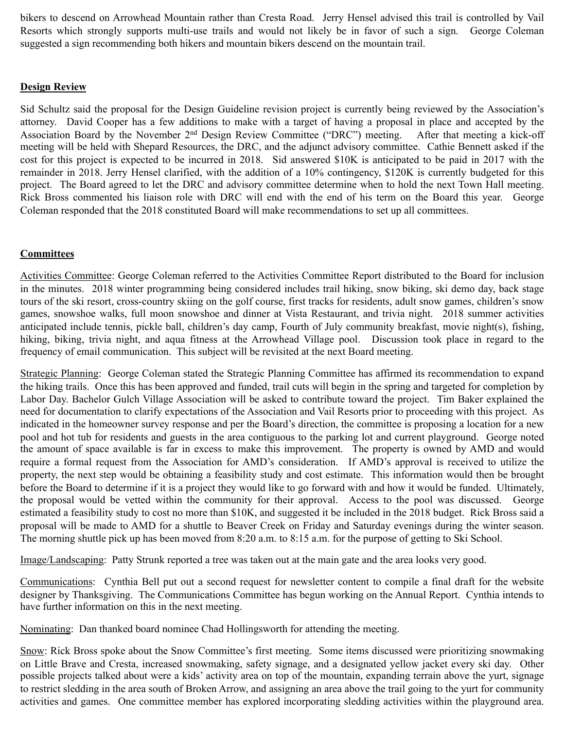bikers to descend on Arrowhead Mountain rather than Cresta Road. Jerry Hensel advised this trail is controlled by Vail Resorts which strongly supports multi-use trails and would not likely be in favor of such a sign. George Coleman suggested a sign recommending both hikers and mountain bikers descend on the mountain trail.

## **Design Review**

Sid Schultz said the proposal for the Design Guideline revision project is currently being reviewed by the Association's attorney. David Cooper has a few additions to make with a target of having a proposal in place and accepted by the Association Board by the November 2nd Design Review Committee ("DRC") meeting. After that meeting a kick-off meeting will be held with Shepard Resources, the DRC, and the adjunct advisory committee. Cathie Bennett asked if the cost for this project is expected to be incurred in 2018. Sid answered \$10K is anticipated to be paid in 2017 with the remainder in 2018. Jerry Hensel clarified, with the addition of a 10% contingency, \$120K is currently budgeted for this project. The Board agreed to let the DRC and advisory committee determine when to hold the next Town Hall meeting. Rick Bross commented his liaison role with DRC will end with the end of his term on the Board this year. George Coleman responded that the 2018 constituted Board will make recommendations to set up all committees.

# **Committees**

Activities Committee: George Coleman referred to the Activities Committee Report distributed to the Board for inclusion in the minutes. 2018 winter programming being considered includes trail hiking, snow biking, ski demo day, back stage tours of the ski resort, cross-country skiing on the golf course, first tracks for residents, adult snow games, children's snow games, snowshoe walks, full moon snowshoe and dinner at Vista Restaurant, and trivia night. 2018 summer activities anticipated include tennis, pickle ball, children's day camp, Fourth of July community breakfast, movie night(s), fishing, hiking, biking, trivia night, and aqua fitness at the Arrowhead Village pool. Discussion took place in regard to the frequency of email communication. This subject will be revisited at the next Board meeting.

Strategic Planning: George Coleman stated the Strategic Planning Committee has affirmed its recommendation to expand the hiking trails. Once this has been approved and funded, trail cuts will begin in the spring and targeted for completion by Labor Day. Bachelor Gulch Village Association will be asked to contribute toward the project. Tim Baker explained the need for documentation to clarify expectations of the Association and Vail Resorts prior to proceeding with this project. As indicated in the homeowner survey response and per the Board's direction, the committee is proposing a location for a new pool and hot tub for residents and guests in the area contiguous to the parking lot and current playground. George noted the amount of space available is far in excess to make this improvement. The property is owned by AMD and would require a formal request from the Association for AMD's consideration. If AMD's approval is received to utilize the property, the next step would be obtaining a feasibility study and cost estimate. This information would then be brought before the Board to determine if it is a project they would like to go forward with and how it would be funded. Ultimately, the proposal would be vetted within the community for their approval. Access to the pool was discussed. George estimated a feasibility study to cost no more than \$10K, and suggested it be included in the 2018 budget. Rick Bross said a proposal will be made to AMD for a shuttle to Beaver Creek on Friday and Saturday evenings during the winter season. The morning shuttle pick up has been moved from 8:20 a.m. to 8:15 a.m. for the purpose of getting to Ski School.

Image/Landscaping: Patty Strunk reported a tree was taken out at the main gate and the area looks very good.

Communications: Cynthia Bell put out a second request for newsletter content to compile a final draft for the website designer by Thanksgiving. The Communications Committee has begun working on the Annual Report. Cynthia intends to have further information on this in the next meeting.

Nominating: Dan thanked board nominee Chad Hollingsworth for attending the meeting.

Snow: Rick Bross spoke about the Snow Committee's first meeting. Some items discussed were prioritizing snowmaking on Little Brave and Cresta, increased snowmaking, safety signage, and a designated yellow jacket every ski day. Other possible projects talked about were a kids' activity area on top of the mountain, expanding terrain above the yurt, signage to restrict sledding in the area south of Broken Arrow, and assigning an area above the trail going to the yurt for community activities and games. One committee member has explored incorporating sledding activities within the playground area.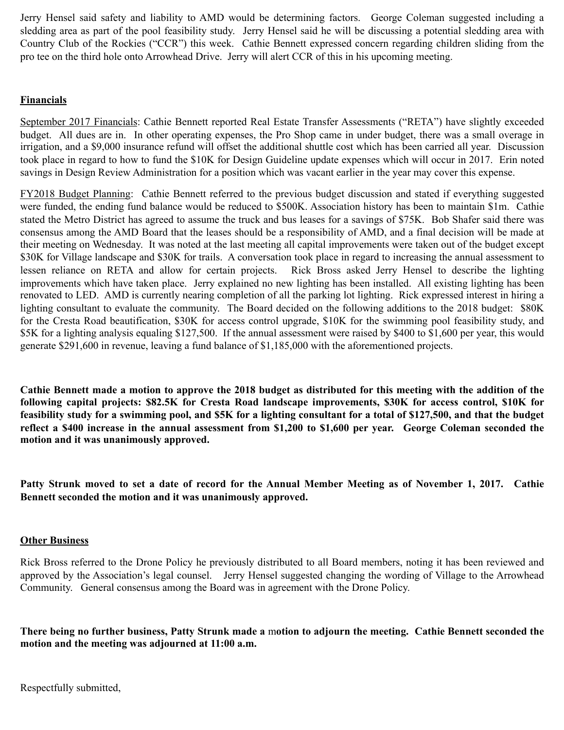Jerry Hensel said safety and liability to AMD would be determining factors. George Coleman suggested including a sledding area as part of the pool feasibility study. Jerry Hensel said he will be discussing a potential sledding area with Country Club of the Rockies ("CCR") this week. Cathie Bennett expressed concern regarding children sliding from the pro tee on the third hole onto Arrowhead Drive. Jerry will alert CCR of this in his upcoming meeting.

# **Financials**

September 2017 Financials: Cathie Bennett reported Real Estate Transfer Assessments ("RETA") have slightly exceeded budget. All dues are in. In other operating expenses, the Pro Shop came in under budget, there was a small overage in irrigation, and a \$9,000 insurance refund will offset the additional shuttle cost which has been carried all year. Discussion took place in regard to how to fund the \$10K for Design Guideline update expenses which will occur in 2017. Erin noted savings in Design Review Administration for a position which was vacant earlier in the year may cover this expense.

FY2018 Budget Planning: Cathie Bennett referred to the previous budget discussion and stated if everything suggested were funded, the ending fund balance would be reduced to \$500K. Association history has been to maintain \$1m. Cathie stated the Metro District has agreed to assume the truck and bus leases for a savings of \$75K. Bob Shafer said there was consensus among the AMD Board that the leases should be a responsibility of AMD, and a final decision will be made at their meeting on Wednesday. It was noted at the last meeting all capital improvements were taken out of the budget except \$30K for Village landscape and \$30K for trails. A conversation took place in regard to increasing the annual assessment to lessen reliance on RETA and allow for certain projects. Rick Bross asked Jerry Hensel to describe the lighting improvements which have taken place. Jerry explained no new lighting has been installed. All existing lighting has been renovated to LED. AMD is currently nearing completion of all the parking lot lighting. Rick expressed interest in hiring a lighting consultant to evaluate the community. The Board decided on the following additions to the 2018 budget: \$80K for the Cresta Road beautification, \$30K for access control upgrade, \$10K for the swimming pool feasibility study, and \$5K for a lighting analysis equaling \$127,500. If the annual assessment were raised by \$400 to \$1,600 per year, this would generate \$291,600 in revenue, leaving a fund balance of \$1,185,000 with the aforementioned projects.

**Cathie Bennett made a motion to approve the 2018 budget as distributed for this meeting with the addition of the following capital projects: \$82.5K for Cresta Road landscape improvements, \$30K for access control, \$10K for feasibility study for a swimming pool, and \$5K for a lighting consultant for a total of \$127,500, and that the budget reflect a \$400 increase in the annual assessment from \$1,200 to \$1,600 per year. George Coleman seconded the motion and it was unanimously approved.** 

**Patty Strunk moved to set a date of record for the Annual Member Meeting as of November 1, 2017. Cathie Bennett seconded the motion and it was unanimously approved.** 

## **Other Business**

Rick Bross referred to the Drone Policy he previously distributed to all Board members, noting it has been reviewed and approved by the Association's legal counsel. Jerry Hensel suggested changing the wording of Village to the Arrowhead Community. General consensus among the Board was in agreement with the Drone Policy.

**There being no further business, Patty Strunk made a** m**otion to adjourn the meeting. Cathie Bennett seconded the motion and the meeting was adjourned at 11:00 a.m.** 

Respectfully submitted,